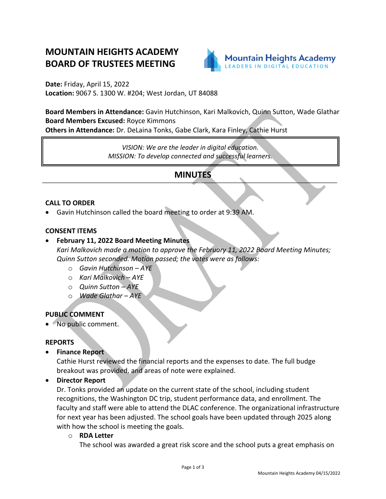# **MOUNTAIN HEIGHTS ACADEMY BOARD OF TRUSTEES MEETING**



**Date:** Friday, April 15, 2022 **Location:** 9067 S. 1300 W. #204; West Jordan, UT 84088

**Board Members in Attendance:** Gavin Hutchinson, Kari Malkovich, Quinn Sutton, Wade Glathar **Board Members Excused:** Royce Kimmons

**Others in Attendance:** Dr. DeLaina Tonks, Gabe Clark, Kara Finley, Cathie Hurst

*VISION: We are the leader in digital education. MISSION: To develop connected and successful learners.*

## **MINUTES**

#### **CALL TO ORDER**

• Gavin Hutchinson called the board meeting to order at 9:39 AM.

#### **CONSENT ITEMS**

## • **February 11, 2022 Board Meeting Minutes**

*Kari Malkovich made a motion to approve the February 11, 2022 Board Meeting Minutes; Quinn Sutton seconded. Motion passed; the votes were as follows:*

- o *Gavin Hutchinson – AYE*
- o *Kari Malkovich – AYE*
- o *Quinn Sutton – AYE*
- o *Wade Glathar – AYE*

## **PUBLIC COMMENT**

• No public comment.

#### **REPORTS**

• **Finance Report**

Cathie Hurst reviewed the financial reports and the expenses to date. The full budge breakout was provided, and areas of note were explained.

• **Director Report**

Dr. Tonks provided an update on the current state of the school, including student recognitions, the Washington DC trip, student performance data, and enrollment. The faculty and staff were able to attend the DLAC conference. The organizational infrastructure for next year has been adjusted. The school goals have been updated through 2025 along with how the school is meeting the goals.

o **RDA Letter**

The school was awarded a great risk score and the school puts a great emphasis on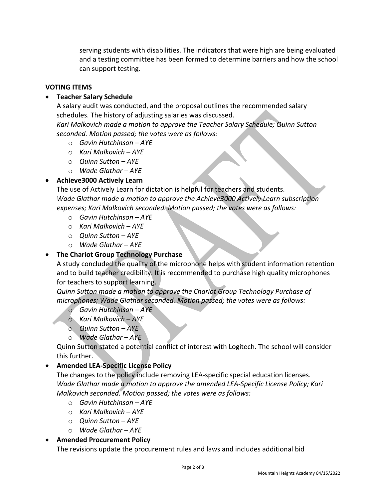serving students with disabilities. The indicators that were high are being evaluated and a testing committee has been formed to determine barriers and how the school can support testing.

#### **VOTING ITEMS**

### • **Teacher Salary Schedule**

A salary audit was conducted, and the proposal outlines the recommended salary schedules. The history of adjusting salaries was discussed.

*Kari Malkovich made a motion to approve the Teacher Salary Schedule; Quinn Sutton seconded. Motion passed; the votes were as follows:*

- o *Gavin Hutchinson – AYE*
- o *Kari Malkovich – AYE*
- o *Quinn Sutton – AYE*
- o *Wade Glathar – AYE*

## • **Achieve3000 Actively Learn**

The use of Actively Learn for dictation is helpful for teachers and students. *Wade Glathar made a motion to approve the Achieve3000 Actively Learn subscription expenses; Kari Malkovich seconded. Motion passed; the votes were as follows:*

- o *Gavin Hutchinson – AYE*
- o *Kari Malkovich – AYE*
- o *Quinn Sutton – AYE*
- o *Wade Glathar – AYE*

#### • **The Chariot Group Technology Purchase**

A study concluded the quality of the microphone helps with student information retention and to build teacher credibility. It is recommended to purchase high quality microphones for teachers to support learning.

*Quinn Sutton made a motion to approve the Chariot Group Technology Purchase of microphones; Wade Glathar seconded. Motion passed; the votes were as follows:*

- o *Gavin Hutchinson – AYE*
- o *Kari Malkovich – AYE*
- o *Quinn Sutton – AYE*
- o *Wade Glathar – AYE*

Quinn Sutton stated a potential conflict of interest with Logitech. The school will consider this further.

#### • **Amended LEA-Specific License Policy**

The changes to the policy include removing LEA-specific special education licenses. *Wade Glathar made a motion to approve the amended LEA-Specific License Policy; Kari Malkovich seconded. Motion passed; the votes were as follows:*

- o *Gavin Hutchinson – AYE*
- o *Kari Malkovich – AYE*
- o *Quinn Sutton – AYE*
- o *Wade Glathar – AYE*

#### • **Amended Procurement Policy**

The revisions update the procurement rules and laws and includes additional bid